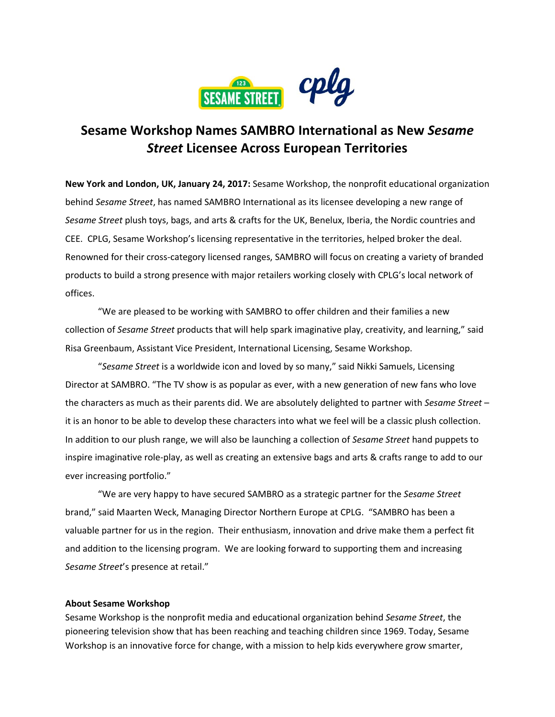

# **Sesame Workshop Names SAMBRO International as New** *Sesame Street* **Licensee Across European Territories**

**New York and London, UK, January 24, 2017:** Sesame Workshop, the nonprofit educational organization behind *Sesame Street*, has named SAMBRO International as its licensee developing a new range of *Sesame Street* plush toys, bags, and arts & crafts for the UK, Benelux, Iberia, the Nordic countries and CEE. CPLG, Sesame Workshop's licensing representative in the territories, helped broker the deal. Renowned for their cross-category licensed ranges, SAMBRO will focus on creating a variety of branded products to build a strong presence with major retailers working closely with CPLG's local network of offices.

"We are pleased to be working with SAMBRO to offer children and their families a new collection of *Sesame Street* products that will help spark imaginative play, creativity, and learning," said Risa Greenbaum, Assistant Vice President, International Licensing, Sesame Workshop.

"*Sesame Street* is a worldwide icon and loved by so many," said Nikki Samuels, Licensing Director at SAMBRO. "The TV show is as popular as ever, with a new generation of new fans who love the characters as much as their parents did. We are absolutely delighted to partner with *Sesame Street* – it is an honor to be able to develop these characters into what we feel will be a classic plush collection. In addition to our plush range, we will also be launching a collection of *Sesame Street* hand puppets to inspire imaginative role-play, as well as creating an extensive bags and arts & crafts range to add to our ever increasing portfolio."

"We are very happy to have secured SAMBRO as a strategic partner for the *Sesame Street* brand," said Maarten Weck, Managing Director Northern Europe at CPLG. "SAMBRO has been a valuable partner for us in the region. Their enthusiasm, innovation and drive make them a perfect fit and addition to the licensing program. We are looking forward to supporting them and increasing *Sesame Street*'s presence at retail."

# **About Sesame Workshop**

Sesame Workshop is the nonprofit media and educational organization behind *Sesame Street*, the pioneering television show that has been reaching and teaching children since 1969. Today, Sesame Workshop is an innovative force for change, with a mission to help kids everywhere grow smarter,